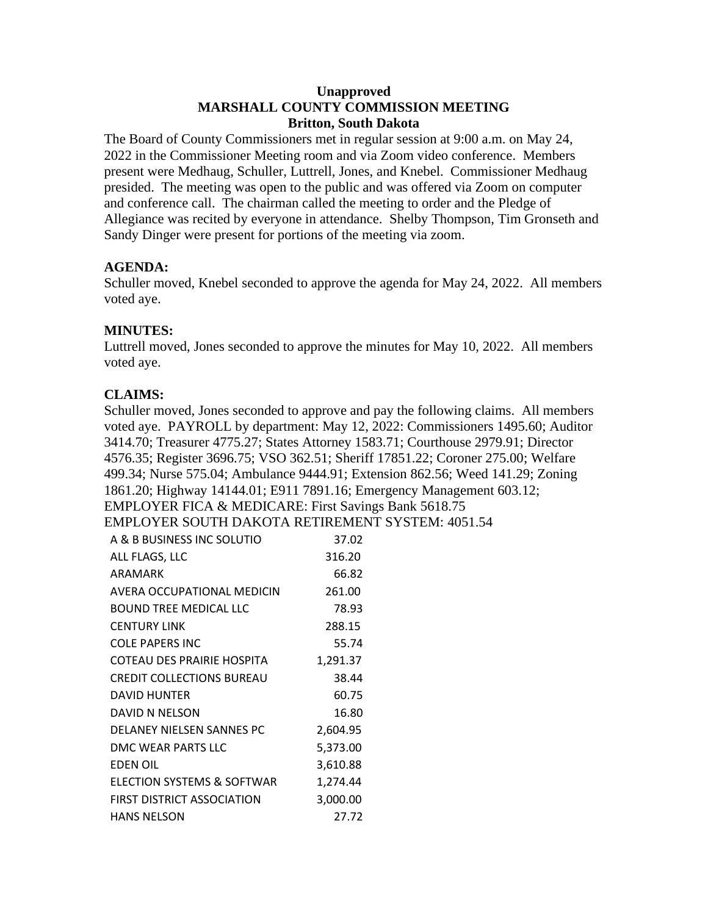### **Unapproved MARSHALL COUNTY COMMISSION MEETING Britton, South Dakota**

The Board of County Commissioners met in regular session at 9:00 a.m. on May 24, 2022 in the Commissioner Meeting room and via Zoom video conference. Members present were Medhaug, Schuller, Luttrell, Jones, and Knebel. Commissioner Medhaug presided. The meeting was open to the public and was offered via Zoom on computer and conference call. The chairman called the meeting to order and the Pledge of Allegiance was recited by everyone in attendance. Shelby Thompson, Tim Gronseth and Sandy Dinger were present for portions of the meeting via zoom.

## **AGENDA:**

Schuller moved, Knebel seconded to approve the agenda for May 24, 2022. All members voted aye.

## **MINUTES:**

Luttrell moved, Jones seconded to approve the minutes for May 10, 2022. All members voted aye.

# **CLAIMS:**

Schuller moved, Jones seconded to approve and pay the following claims. All members voted aye. PAYROLL by department: May 12, 2022: Commissioners 1495.60; Auditor 3414.70; Treasurer 4775.27; States Attorney 1583.71; Courthouse 2979.91; Director 4576.35; Register 3696.75; VSO 362.51; Sheriff 17851.22; Coroner 275.00; Welfare 499.34; Nurse 575.04; Ambulance 9444.91; Extension 862.56; Weed 141.29; Zoning 1861.20; Highway 14144.01; E911 7891.16; Emergency Management 603.12; EMPLOYER FICA & MEDICARE: First Savings Bank 5618.75

EMPLOYER SOUTH DAKOTA RETIREMENT SYSTEM: 4051.54

| A & B BUSINESS INC SOLUTIO       | 37.02    |
|----------------------------------|----------|
| ALL FLAGS, LLC                   | 316.20   |
| ARAMARK                          | 66.82    |
| AVERA OCCUPATIONAL MEDICIN       | 261.00   |
| BOUND TREE MEDICAL LLC           | 78.93    |
| <b>CENTURY LINK</b>              | 288.15   |
| <b>COLE PAPERS INC</b>           | 55.74    |
| COTEAU DES PRAIRIE HOSPITA       | 1,291.37 |
| <b>CREDIT COLLECTIONS BUREAU</b> | 38.44    |
| <b>DAVID HUNTER</b>              | 60.75    |
| DAVID N NELSON                   | 16.80    |
| DELANEY NIELSEN SANNES PC        | 2,604.95 |
| DMC WEAR PARTS LLC               | 5,373.00 |
| <b>EDEN OIL</b>                  | 3,610.88 |
| ELECTION SYSTEMS & SOFTWAR       | 1,274.44 |
| FIRST DISTRICT ASSOCIATION       | 3,000.00 |
| HANS NELSON                      | 27.72    |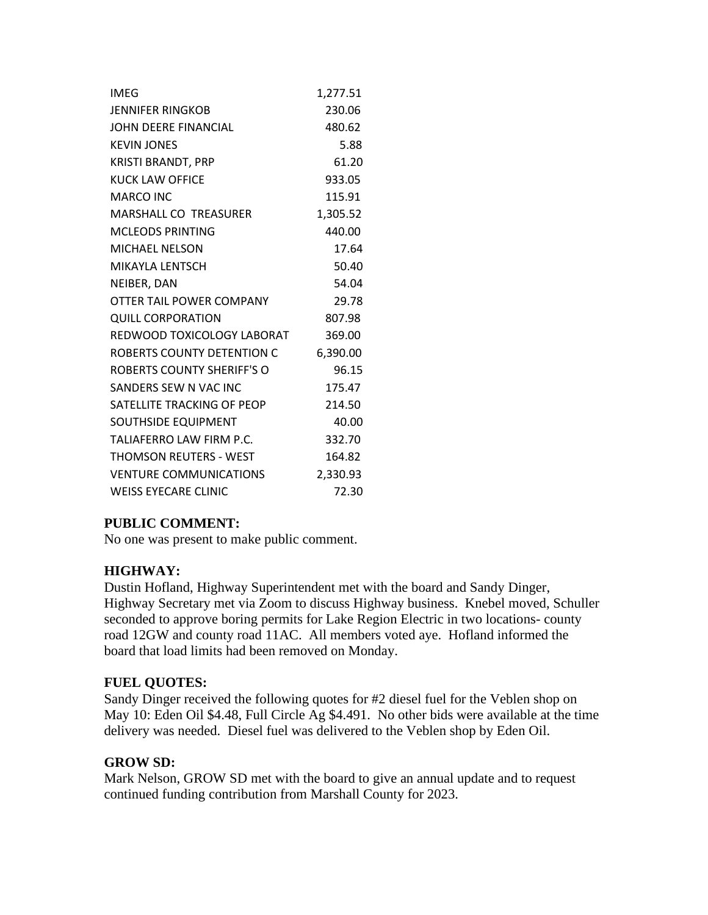| <b>IMEG</b>                       | 1,277.51 |
|-----------------------------------|----------|
| <b>JENNIFER RINGKOB</b>           | 230.06   |
| JOHN DEERE FINANCIAL              | 480.62   |
| <b>KEVIN JONES</b>                | 5.88     |
| <b>KRISTI BRANDT, PRP</b>         | 61.20    |
| <b>KUCK LAW OFFICE</b>            | 933.05   |
| MARCO INC                         | 115.91   |
| <b>MARSHALL CO TREASURER</b>      | 1,305.52 |
| <b>MCLEODS PRINTING</b>           | 440.00   |
| <b>MICHAEL NELSON</b>             | 17.64    |
| MIKAYLA LENTSCH                   | 50.40    |
| NEIBER, DAN                       | 54.04    |
| OTTER TAIL POWER COMPANY          | 29.78    |
| <b>QUILL CORPORATION</b>          | 807.98   |
| REDWOOD TOXICOLOGY LABORAT        | 369.00   |
| ROBERTS COUNTY DETENTION C        | 6,390.00 |
| <b>ROBERTS COUNTY SHERIFF'S O</b> | 96.15    |
| SANDERS SEW N VAC INC             | 175.47   |
| SATELLITE TRACKING OF PEOP        | 214.50   |
| SOUTHSIDE EQUIPMENT               | 40.00    |
| TALIAFERRO LAW FIRM P.C.          | 332.70   |
| <b>THOMSON REUTERS - WEST</b>     | 164.82   |
| <b>VENTURE COMMUNICATIONS</b>     | 2,330.93 |
| <b>WEISS EYECARE CLINIC</b>       | 72.30    |

## **PUBLIC COMMENT:**

No one was present to make public comment.

## **HIGHWAY:**

Dustin Hofland, Highway Superintendent met with the board and Sandy Dinger, Highway Secretary met via Zoom to discuss Highway business. Knebel moved, Schuller seconded to approve boring permits for Lake Region Electric in two locations- county road 12GW and county road 11AC. All members voted aye. Hofland informed the board that load limits had been removed on Monday.

### **FUEL QUOTES:**

Sandy Dinger received the following quotes for #2 diesel fuel for the Veblen shop on May 10: Eden Oil \$4.48, Full Circle Ag \$4.491. No other bids were available at the time delivery was needed. Diesel fuel was delivered to the Veblen shop by Eden Oil.

### **GROW SD:**

Mark Nelson, GROW SD met with the board to give an annual update and to request continued funding contribution from Marshall County for 2023.